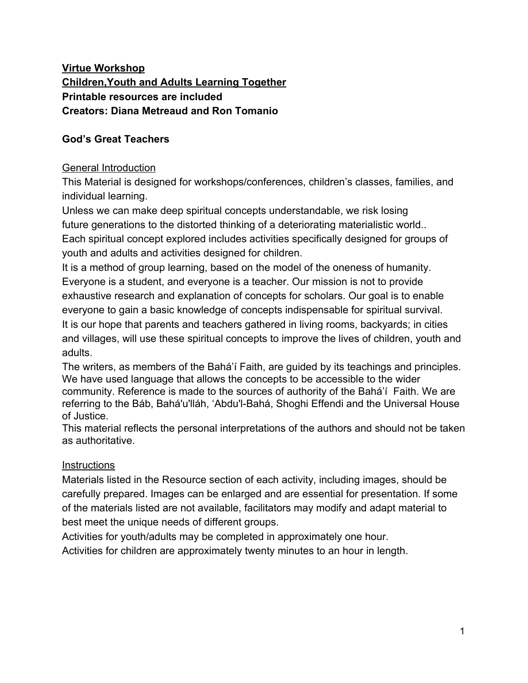# **Virtue Workshop Children,Youth and Adults Learning Together Printable resources are included Creators: Diana Metreaud and Ron Tomanio**

# **God's Great Teachers**

# General Introduction

This Material is designed for workshops/conferences, children's classes, families, and individual learning.

Unless we can make deep spiritual concepts understandable, we risk losing future generations to the distorted thinking of a deteriorating materialistic world.. Each spiritual concept explored includes activities specifically designed for groups of youth and adults and activities designed for children.

It is a method of group learning, based on the model of the oneness of humanity. Everyone is a student, and everyone is a teacher. Our mission is not to provide exhaustive research and explanation of concepts for scholars. Our goal is to enable everyone to gain a basic knowledge of concepts indispensable for spiritual survival. It is our hope that parents and teachers gathered in living rooms, backyards; in cities and villages, will use these spiritual concepts to improve the lives of children, youth and adults.

The writers, as members of the Bahá'í Faith, are guided by its teachings and principles. We have used language that allows the concepts to be accessible to the wider community. Reference is made to the sources of authority of the Bahá'í Faith. We are referring to the Báb, Bahá'u'lláh, 'Abdu'l-Bahá, Shoghi Effendi and the Universal House of Justice.

This material reflects the personal interpretations of the authors and should not be taken as authoritative.

### **Instructions**

Materials listed in the Resource section of each activity, including images, should be carefully prepared. Images can be enlarged and are essential for presentation. If some of the materials listed are not available, facilitators may modify and adapt material to best meet the unique needs of different groups.

Activities for youth/adults may be completed in approximately one hour.

Activities for children are approximately twenty minutes to an hour in length.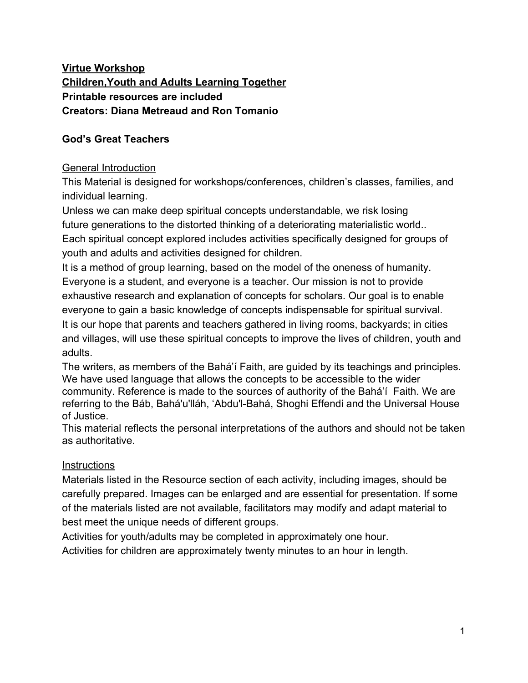#### **Adult Activity**

Document with text to be read aloud by participants. Facilitator may choose to use a projector.

Materials in Resource Section

**Facilitator asks:** a participant to read the following in a loud voice:

**There is an old fable about a great king who sent a messenger with clear guidance to a far away village. The messenger was welcomed and the king's guidance was followed. The village prospered.**

**Years later, the village was experiencing great difficulty. Bad things were happening. The king heard news of this and decided a new messenger must be sent with new guidance. The messenger made the long journey to the same village. The people treated the messenger harshly, saying, "We have no need of you! We are content with the messenger who came years ago".**

**Facilitator asks:** What do we think this story means? What do we think happens to the village? Does it improve or continue to deteriorate?

#### **Participants respond**

**Facilitator asks:** How can we compare the state of the village with the current state of the world?

#### **Participants respond**

**Facilitator says:** The villagers in our story, who reject the latest Messenger of God, lose so much more than time. Lives are lost through needless wars. Whole countries starve. Knowledge is destroyed by ignorance. Progress comes to a halt. All because of spiritual blindness.

The most that we can understand about God is what is reflected in the Person and the Writings of the Prophets of God.The individual can not see past the Manifestation (Prophet) of God to see God directly. Human sight is limited. The Prophets are our only option of learning about God.

 Never before in religious history has the reality of the Prophets of God been so thoroughly explained. Religious communities throughout history have been trying to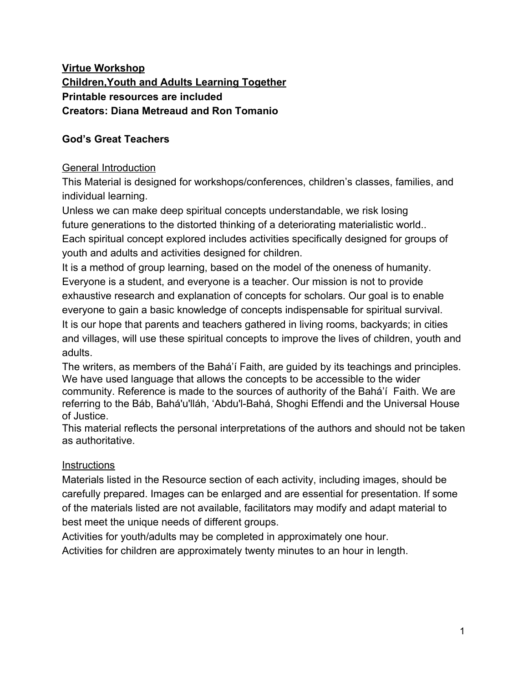explain the extraordinary Beings who lived among them. They came at intervals of roughly a thousand years improving their societies immensely. The people knew that this special Person was unlike them, yet looked like them. The Prophet seemed to know about and understand everything -- things that He should have no knowledge of. They would say, "This is not the same child who we have watched grow up in our village." They believed they were witnessing a miracle come to life. The enduring debate has always been: is this person God, one of the many Gods, or is he simply a very intelligent man?

In the year 325 AD, Roman Emperor Constantine I and his mother, very early Christians, convened the Council of Nicea. The purpose of the council was to decide if Jesus Christ was a man or God. The consultation attempted to please all sides. The decision was that Jesus Christ was three persons in one.This attempt to provide clarity and end disputes only created further confusion that lasts to this day.

The council defined Christ as the Father, the Son, and the Holy Ghost combined. In the centuries that followed there has been a proliferation of Christian sects. The vast range of belief ranges from seeing Jesus as a great teacher and a wise man to seeing Him as the Word of God made flesh.

This confusion that surrounds the reality of Christ also surrounds all of God's Messengers.

Now, In this Day, at this point in our spiritual evolution, this great mystery has been explained in the Bahá'í Teachings.

**Facilitator asks:** participant to read the following quotation in a loud voice:

### **Know that the degrees of existence are finite -- the degrees of servitude, of prophethood, and of Divinity"**

- 'Abdu'l-Bahá, Bahá'í Reference Library: Some Answered Questions:62

**Facilitator says:** In existence there are humans, who are servants of God, Prophets of God, and God.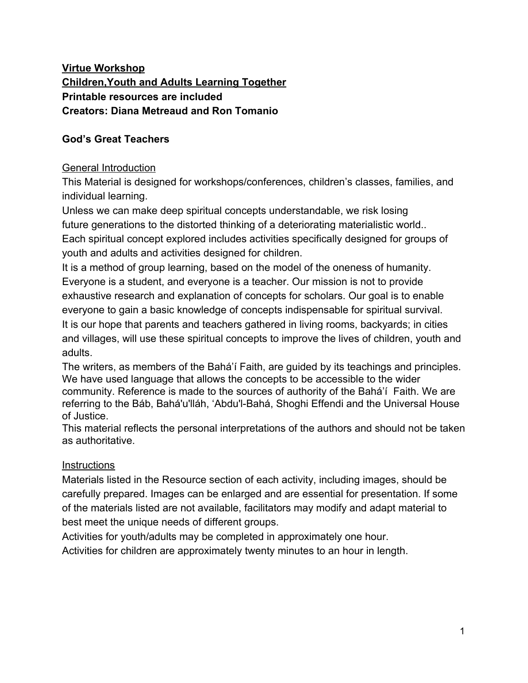#### **Facilitator shares Image A** with participants



**Facilitator says**: Why is it important, when we are walking in the desert, to find an oasis?

#### **Participants respond**

**Facilitator says:** In desert cultures, trees were planted at each oasis to guide the traveler to water, food and safety. The traveler could only faintly see the tree at the next oasis. The wayfarer knew that she must not leave the path. If she did, she would get lost and run out of water in the very hot, sandy desert. She knew that she must not deviate from the path. Drifting from the path; losing one's way, risked injury or death.

If we are walking in the very hot desert and can only carry one small bottle of water, would we want to get quickly to the next oasis and refill our bottles or would we want to stop and sight see and play in the sand for a few hours?

### **Participants respond**



#### **Facilitator shares image B** with participants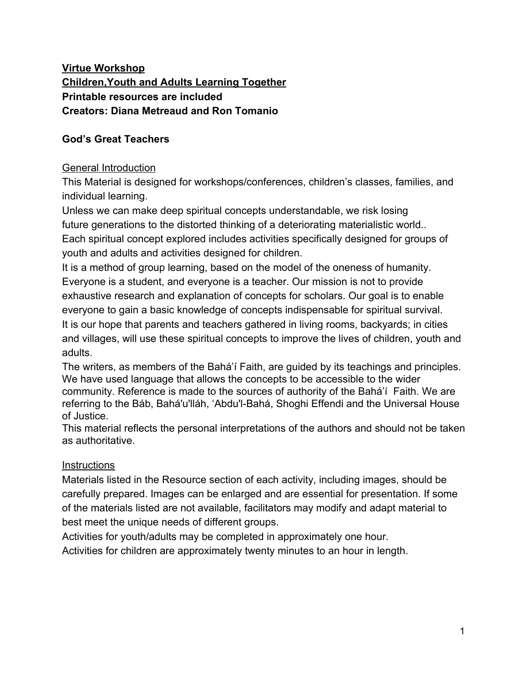**Facilitator says:** Of course we would want to get from one oasis to the next quickly. We would want to walk in a straight line if possible.

But here is a surprising bit of information:



**Facilitator shares image C** with participants:

**Facilitator says:** Oases do not naturally all appear in one straight line in the desert. They naturally occur in a zig-zag pattern.

But we still have to go from one to the next as quickly as we can. We can't make a detour and skip one oasis to get to one farther away to try to save time. We would run out of water. This makes the trip longer and not direct, but it is the only way.

**Facilitator shares Image D** image with participants

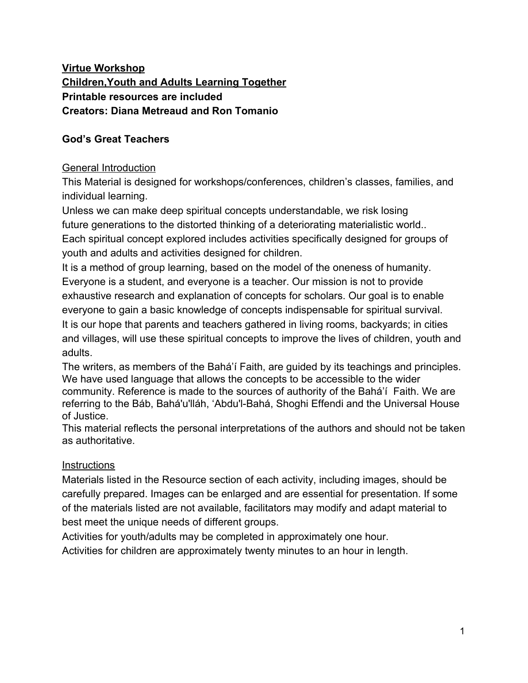**Facilitator says:** A symbol for the Messenger/Prophet of God used in the Quran and in the Bahá'í Writings is the tree. The tree symbol is used in many world cultures and religions. For example; The Buddha had His "awakening" (the time to tell the world who He was)" sitting under the Bodhi tree in India.

Bahá'u'lláh uses Sadratu'l-Muntaha (The Tree Beyond Which There Is No Passing) to refer to a Prophet of God. In Arabic, a title of the Prophet of God is "Sadratu'l-Muntaha", which means "The Tree Beyond Which There Is No Passing". "Sadrat" refers to a **tree** found in Arabia and "Muntaha" means the farthest point.

Trees connect earth to sky. Their root systems spread out deep into the earth at the same time their branches reach for the heavens. Amazingly, science now explains that trees recognize their own offspring and favor them by sending nutrients to them through an intricate root system. Much like the physical tree, the Prophet of God bestows spiritual sustenance to His followers.

Although the traveler could not see beyond the tree of the next oasis, he had faith that he was headed toward safety. He had faith that there would be another Tree (Prophet) to guide him.



#### **Facilitator shares Image E** with participants: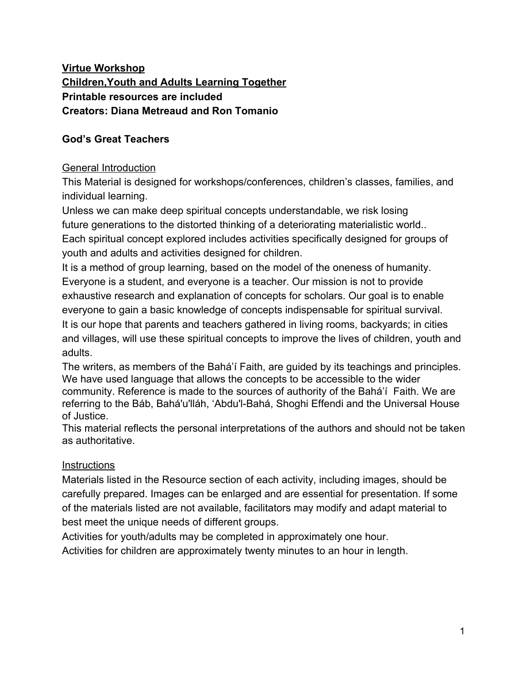**Facilitator asks:** participant to read the following in a loud voice:

**We, servants of God, are warned not to try to bypass any of the indispensable Messengers of God. We can't pick and choose which of God's Prophets we will accept or reject. Ultimately, in this world or the next, we will have to accept all of God's Prophets. To bypass One is to bypass All of Them and ignore the Will of God. The Tree of Moses guides us to the Tree of Jesus. The Tree of Jesus guides us to the Tree of Muhammad. The Tree of Muhammad guides us to the Tree of Báb. The Tree of the Báb guides us to the Tree of Bahá'u'lláh. We need Them all. We need all of God's great Teachers just like we need each oasis. They each bring us special Teachings that we need to transform our lives. We can't skip over any of God's Great Teachers, just like we can't skip over any of the oases when we travel across the desert.**

**Facilitator says:** We would run out of water and be very thirsty if we skipped any oases, trying to get to the one farthest away. We have to walk from each oasis to the next one. When we arrive at each oasis, we can rest, cool off, drink fresh water, and fill our water bottle. Then we continue to the next oasis.

Also, each oasis is special. Each is different and unique.

**Facilitator shares Image F** with participants:



**Facilitator says:** One oasis has grape trees.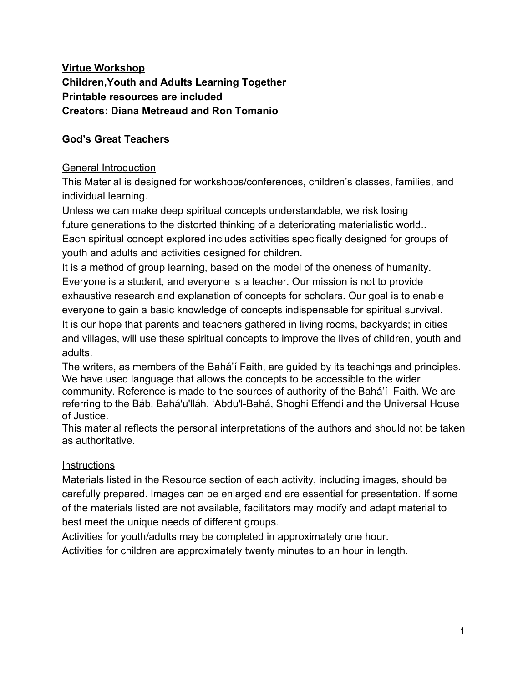**Facilitator shares Image G** with participants:



**Facilitator says:**The next oasis has banana trees.

**Facilitator shares Image H** with participants:



**Facilitator says:** And the next oasis has orange trees.

**Facilitator shares Image I** with participants:



**Facilitator says:** And the next oasis has apple trees.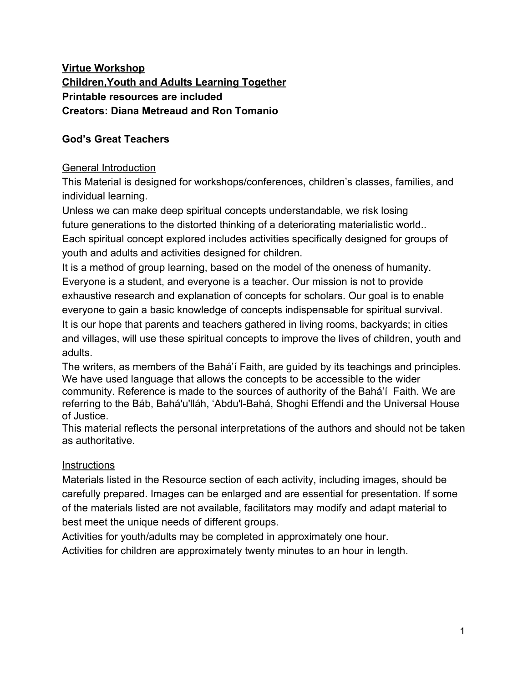**Facilitator shares Image J** with participants:



**Facilitator says:** And the last oasis has delicious pears.

# **Note to Facilitator: To expand activity to include 4 additional Prophets of God, see Resource section for additional fruit images and Prophet names**

We will pretend that we are travelling in a desert. Each potted plant is an oasis. We are going to travel from one oasis to the next until we get to the last one.

Let's set up our oases. We know already, that oases do not grow in a straight line in the desert. So we need to set up our four oasis plants in a zig-zag pattern.

**Facilitator directs participants:** to place five plants on chairs or on the floor/ground in zig-zag pattern.

**Note:**Depending on space available, the plants may be spaced at a farther distance from each other.

**Facilitator says:** Let's label our oases:

Let's put the picture of the grape tree in front of the first plant.

**Facilitator selects participant** to place grape tree image in front of plant #1.

**Facilitator says:** Let's put the picture of the banana tree in front of the second plant.

**Facilitator selects participant** to place banana tree image in front of plant #2.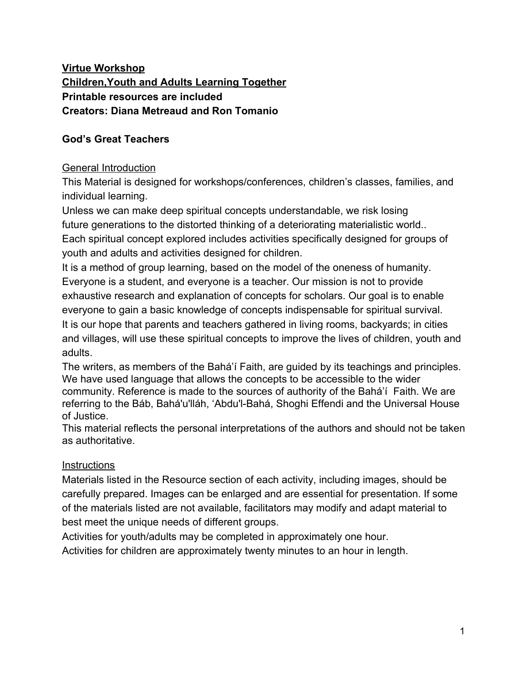**Facilitator says:** Let's put the picture of the orange tree in front of the third plant.

**Facilitator selects participant** to place orange tree image in front of plant #3.

**Facilitator says:** Let's put the picture of the apple tree in front of the fourth plant.

**Facilitator selects participant** to place apple tree image in front of plant #4.

**Facilitator says:** Let's put the picture of the pear tree in front of the last plant.

**Facilitator selects participant** to place pear tree image in front of plant # 5.

**Facilitator says:** Now let's add the names of God's Great Teachers to each oasis. Let's put the name of Moses in front of our grape tree oasis.

**Facilitator selects participant** to place "Moses" card in front of grape tree image #1.

**Facilitator says:** Let's put the name of Jesus in front of our banana tree oasis.

**Facilitator selects participant** to place "Jesus" card in front of banana tree image #2.

**Facilitator says:** Let's put the name of Muhammad in front of our orange tree oasis.

**Facilitator selects participant** to place "Muhammad" card in front of orange tree image #3.

**Facilitator says:** Let's put the name of The Báb in front of our apple tree oasis.

**Facilitator selects participant** to place "The Báb" card in front of apple tree image #4.

**Facilitator says:** Let's put the name of Bahá'u'lláh in front of our pear tree oasis.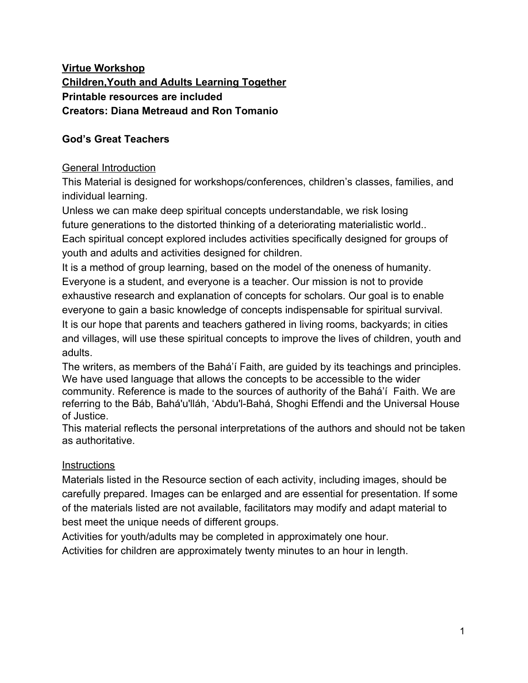**Facilitator selects participant** to place "Bahá'u'lláh" card in front of pear tree image #5.

**Facilitator places a water bottle at each oasis and cut fruit pieces corresponding to each labeled oasis.**

**Facilitator Note:** depending on size of group, five participants may be selected to be "servers" at each of the five oases.

**Facilitator gives** each participant a small cup.

**Facilitator says:** Now let's all walk to each oasis in order on a path through the desert. Moses came before the other Great Teachers on our path, so we will start at our Moses oasis.

Let's all refresh ourselves with a drink of water and grapes.

#### **Participants respond**

**Facilitator says:** Moses was a Great Teacher sent to us by God. He taught everyone how to live a spiritual life. God's teachings that Moses gave us are like life-saving water we get at an oasis. Moses also gave us directions on how to find the next oasis where we can find the next Great Teacher. When we travel from one oasis to the next one, we need to carry some water in our cups with us so we won't be so thirsty or frightened and have to turn back.

Let's be sure we all have a little water in our cups as we continue to the next oasis.

**Facilitator:** or participant may give physical directions to go to the next oasis. Sample directions might be: "Go forward three steps; turn right; go forward three steps; etc.

**Facilitator: Repeat process** to continue guiding participants though remaining four oases, naming each Prophet of God and reminding participants that the water and refreshing fruit are symbolic of Their Teachings.

**Note to Facilitator:** The number of oases may be increased, representing additional Prophets of God.

**Facilitator says:** Let's all return to our seats.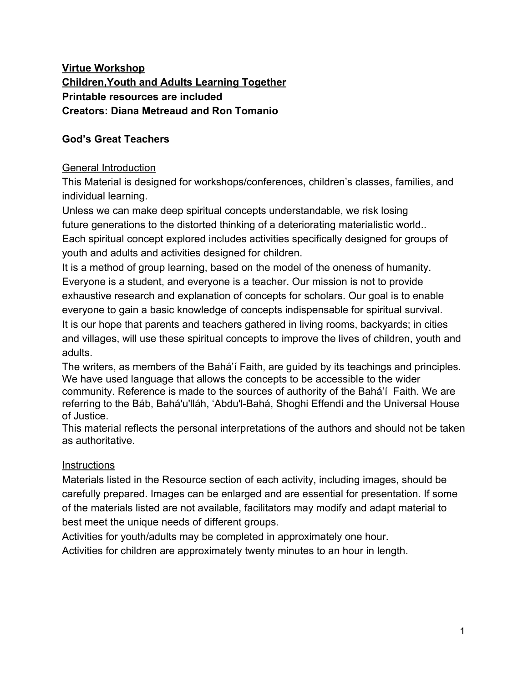#### **Participants respond**

**Facilitator says:** God has always sent Great Teachers to train mankind. Over time, the followers drift from the straight path laid out by the Prophets. The path begins to look like the meandering path of our desert traveler. Each successive Prophet then attempts to correct the missteps of the followers of the previous religion, while at the same time, sets a new course for the future.

What would happen if the traveler stayed too long at one oasis, ate all the fruit and drank all the water?

#### **Participants respond**

**Facilitator says:** Let's listen to this quotation and then discuss its meaning together.

**Facilitator asks:** participant to read the following quotation in a loud voice:

**From the seed of reality religion has grown into a tree which has put forth leaves and branches, blossoms and fruit. After a time this tree has fallen into a condition of decay. The leaves and blossoms have withered and perished; the tree has become stricken and fruitless. It is not reasonable that man should hold to the old tree, claiming that its life forces are undiminished, its fruit unequaled, its existence eternal. The seed of reality must be sown again in human hearts in [order](http://reference.bahai.org/en/t/ab/PUP/pup-53.html#) that a new tree may grow therefrom and new divine fruits refresh the world.** - 'Abdu'l-Bahá, Bahá'í Reference Library: *Úl[{ La ang } A -4N*  $\tilde{a}$ *Al-ang AU* ang 152

### **Allow 3-5 minutes for discussion**

**Facilitator's closing remarks:** There probably will not be the same need for radical corrections due to the misconceptions of the followers of the Prophets in the future. Abraham is associated with the beginning of the Adamic Cycle - the cycle of prophecy. We are transitioning from the prophetic age to the age of fulfilment. The hallmark of this new age is an unbreakable covenant between God and man.

**"This is the Day that shall not be followed by night"** Baha'u'lláh, Bahá'í Reference Library: Ù'{{|}• Á - 402A F | 3A - 4P | • 0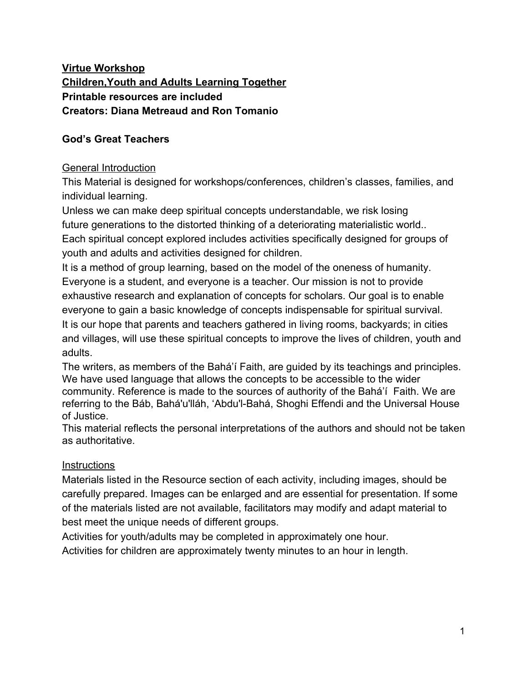This is the "Day" in which we finally learn who we are and what our purpose is. We know that our identity is being servants of God. Our personal model is 'Abdu'l-Bahá. All these corrections that were needed in the past were due to the fact that we did not have such a model. 'Abdu'l-Bahá lived in a time when the means of communication existed to allow knowledge to be spread world-wide.

This is why 'Abdu'l-Bahá warns us to beware of "multiple identities".

**Facilitator asks:** a participant to read the following in a loud voice:

**"Let all be set free from the multiple identities that were born of passion and desire, and in the oneness of their love for God find a new way of life."** - 'Abdu'l-Bahá, Bahá'í Reference Library: U<sup>N</sup> M & F + A I A A A A A A A A A A A A A A A EGA K 36

**Facilitator says:** Catastrophic false identities of the past, such as Natzism, Communism, Racism, etc. will die a slow, painful death. These systems are based on race or ideology. They have put forth false "multiple identities".

These will be replaced by our true identity as exemplified by 'Abdu'l-Bahá.

 God continually urges us to grow spiritually and increase our thirst and appetite for knowledge of Him.

God continually plants new Trees -- He sends us new Prophets. Each Prophet brings "...the seed of reality" that "must be sown again in human hearts". We can only find the seed that has been placed in our hearts when we stop blindly imitating what we believed and did yesterday. We need to be open to new ideas -- new guidance from God. If we don't, we'll never grow.

**To the Facilitator and all participants:**

**The physical world has been created by God to teach us deep spiritual concepts. It is the hope of the creators of this activity that we all make the transition as quickly as possible, from being student participants, to being teachers, sharing these ideas with others. Spiritual concepts are the building blocks for an ever-progressing world civilization.**

**Please feel free to adapt this material to best meet the unique needs of different groups.**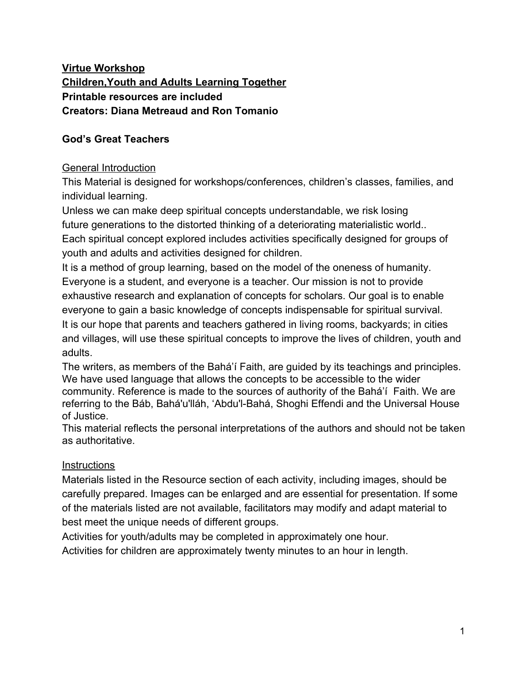### **Children's Activity:**

Document with text to be read aloud by participants. Facilitator may choose to use a projector.

Materials in Resource Section

**Facilitator says**: Who knows what an oasis in a desert is?

#### **Participants respond**

### **Facilitator shares image A** with participants:



**Facilitator says**: That is right. An oasis is a spot in a desert where there is water and plants and animals.

Why is it important, when we are walking in the desert, to find an oasis?

### **Participants respond**

**Facilitator says**: If we are walking in the very hot desert and can only carry one small bottle of water, would we want to get quickly to the next oasis and refill our bottles or would we want to stop and sight see and play in the sand for a few hours?

#### **Participants respond**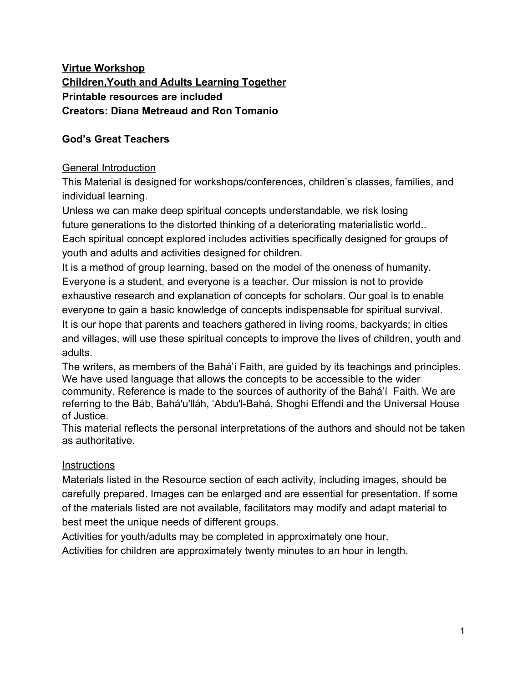#### **Facilitator shares Image B** with participants:



**Facilitator says:** Of course we would want to get from one oasis to the next quickly. We would want to walk in a straight line if possible to save time.

In desert cultures trees were planted at each oasis to guide the traveler to water, food and safety. The traveler could only faintly see the tree at the next oasis. She knew that she must not leave the path. If she did, she would get lost and run out of water in the very hot, sandy desert.

But here is a surprising bit of information:



### **Facilitator shares Image C** with participants:

**Facilitator says:** Oases do not naturally all appear in one straight line in the desert. They naturally occur in a zig-zag pattern. But we still have to go from one to the next as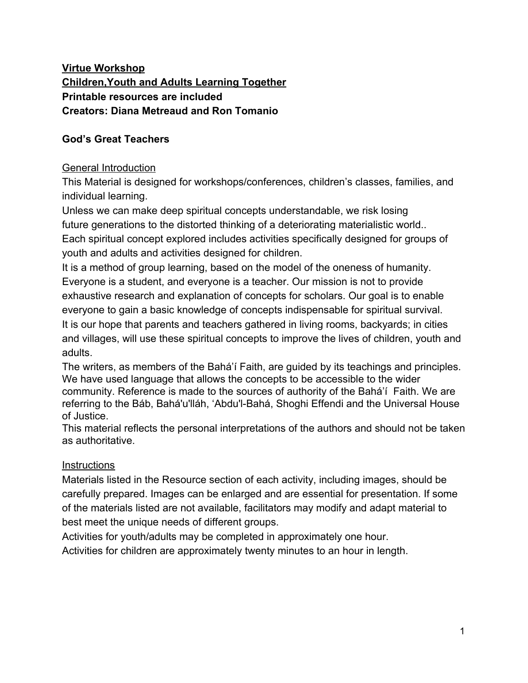quickly as we can. We can't make a detour and skip one oasis to get to one farther away to try to save time. We would run out of water. This makes the trip longer and not direct, but it is the only way.

My friend made a trip through the desert last year and stopped at each oasis. She told me that her favorite oasis was the last one. It had a big fruit tree with a swing.

What if I decide I want to skip all the other oases and go straight to that last one with the big fruit tree and the swing?

### **Participants respond**

**Facilitator says:** But I can't skip any of the oases. Why can't I do this? Why can't I go straight to the last oasis?

#### **Participants respond**

**Facilitator says:** We would run out of water and be very thirsty if we skipped any oases, trying to get to the one farthest away.

We have to walk from each oasis to the next one.

When we arrive at each oasis, we can rest, cool off, drink fresh water, and fill our water bottle. Then we continue to the next oasis.

Each oasis is special. Each is different and unique.

#### **Facilitator shares Image F** with participants:



**Facilitator says:** One oasis has grape trees.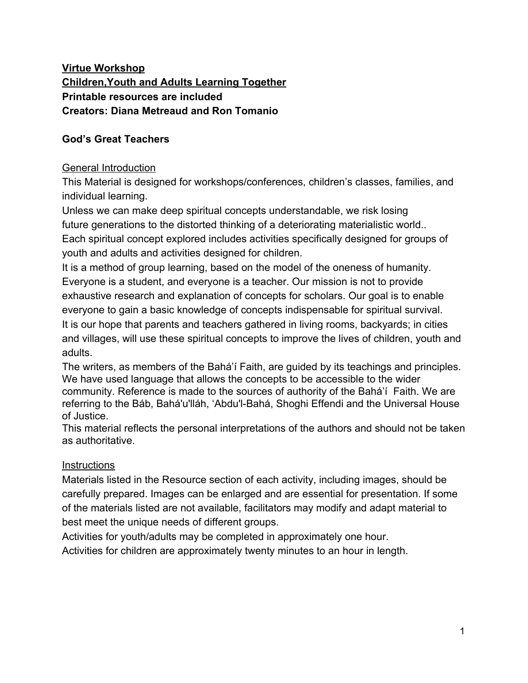**Facilitator shares Image G** with participants:



**Facilitator says:**The next oasis has banana trees.

**Facilitator shares Image H** with participants:



**Facilitator says:** And the next oasis has orange trees.

**Facilitator shares Image I** with participants:



**Facilitator says:** And the next oasis has apple trees.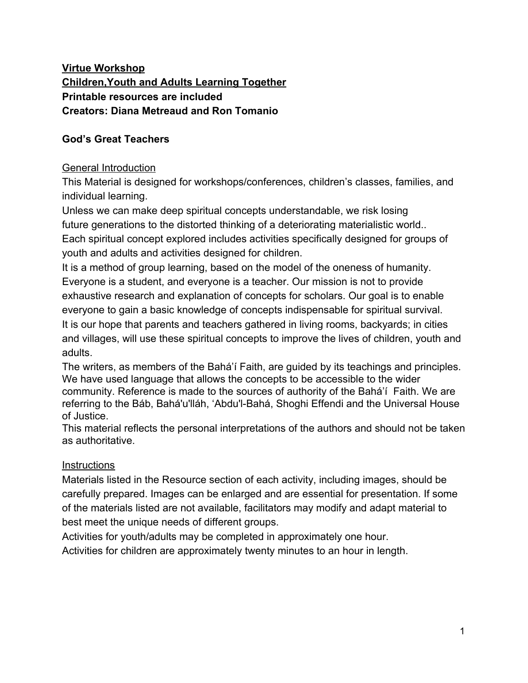**Facilitator shares Image J** with participants:



**Facilitator says:** And the last oasis has delicious pear trees.

**Note to Facilitator: To expand activity to include 4 additional Prophets of God, see Resource section for additional fruit images and Prophet names**

**Facilitator shares:** image **K** with participants:



**Facilitator says:** God sends us Great Teachers. These Teachers have different names, such as Moses, Jesus, Muhammad, the Báb and Bahá'u'lláh. They are like the different trees that grow on different oases. We need Them all. We need all of God's great Teachers just like we need each oasis. They each teach us special things that we need to know to make our lives better. We can't skip over any of God's Great Teachers, just like we can't skip over any of the oases when we travel across the desert.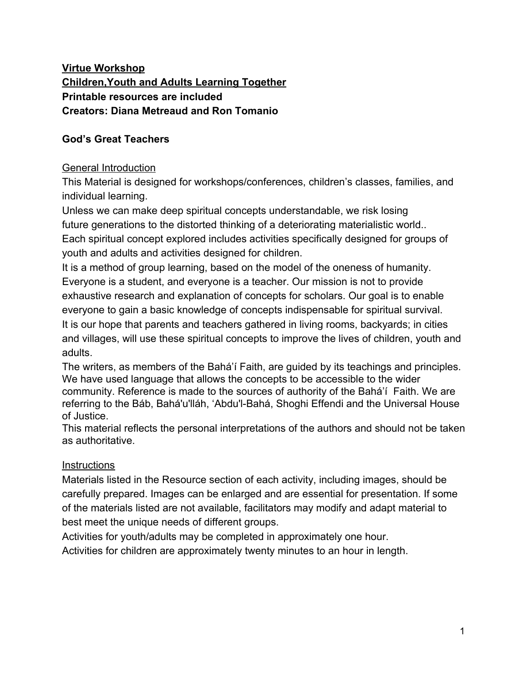We will pretend that we are travelling in a desert. Each potted plant is an oasis. We are going to travel from one oasis to the next until we get to the last one.

Let's set up our oases. We know already, that oases do not grow in a straight line in the desert. So we need to set up our four oasis plants in a zig-zag pattern.

**Facilitator directs participants:** to place five plants on chairs or on the floor/ground in zig-zag pattern. Alternately, a hundred square grid pattern may be made on paper or cloth and placed on the floor. The plants may be placed on this.

**Note:**Depending on space available, the plants may be spaced at a farther distance from each other.

**Facilitator says:** Let's label our oases:

Let's put the picture of the grape tree in front of the first plant.

**Facilitator selects participant** to place grape tree image in front of plant #1.

**Facilitator says:** Let's put the picture of the banana tree in front of the second plant.

**Facilitator selects participant** to place banana tree image in front of plant #2.

**Facilitator says:** Let's put the picture of the orange tree in front of the third plant.

**Facilitator selects participant** to place orange tree image in front of plant #3.

**Facilitator says:** Let's put the picture of the apple tree in front of the fourth plant.

**Facilitator selects participant** to place apple tree image in front of plant #4.

**Facilitator says:** Let's put the picture of the pear tree in front of the last plant.

**Facilitator selects participant** to place pear tree image in front of plant # 5.

**Facilitator says:**Now let's add the names of God's Great Teachers to each oasis.

Let's put the name of Moses in front of our grape tree oasis.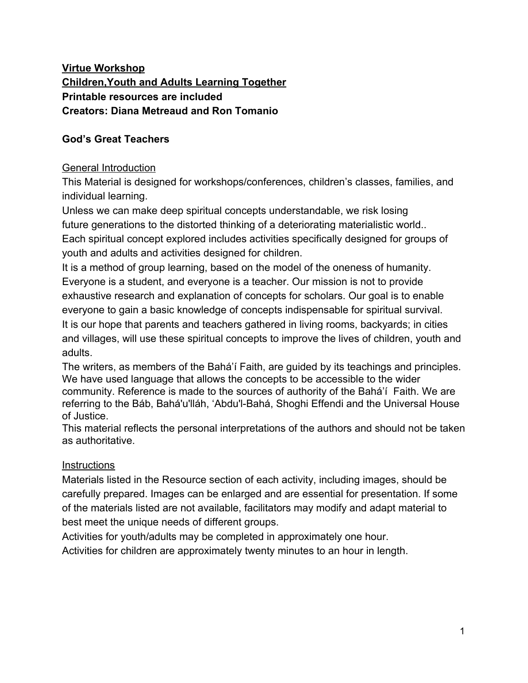**Facilitator selects participant** to place "Moses" card in front of grape tree image #1.

**Facilitator says:** Let's put the name of Jesus in front of our banana tree oasis.

**Facilitator selects participant** to place "Jesus" card in front of banana tree image #2.

**Facilitator says:** Let's put the name of Muhammad in front of our orange tree oasis.

**Facilitator selects participant** to place "Muhammad" card in front of orange tree image #3.

**Facilitator says:** Let's put the name of The Báb in front of our apple tree oasis.

**Facilitator selects participant** to place "The Báb" card in front of apple tree image #4.

**Facilitator says:** Let's put the name of Bahá'u'lláh in front of our pear tree oasis.

**Facilitator selects participant** to place "Bahá'u'lláh" card in front of pear tree image #5.

**Facilitator places a water bottle at each oasis and cut fruit pieces corresponding to each labeled oasis.**

**Facilitator Note:** depending on the size of group, four participants may be selected to be "servers" at each of the four oases.

**Facilitator gives** each participant a small cup.

**Facilitator says:** Now let's all walk to each oasis in order on a path through the desert. Moses came before the other Great Teachers on our path, so we will start at our Moses oasis.

### **Participants respond**

**Facilitator says:** Let's all refresh ourselves with a drink of water and grapes. **Participants respond**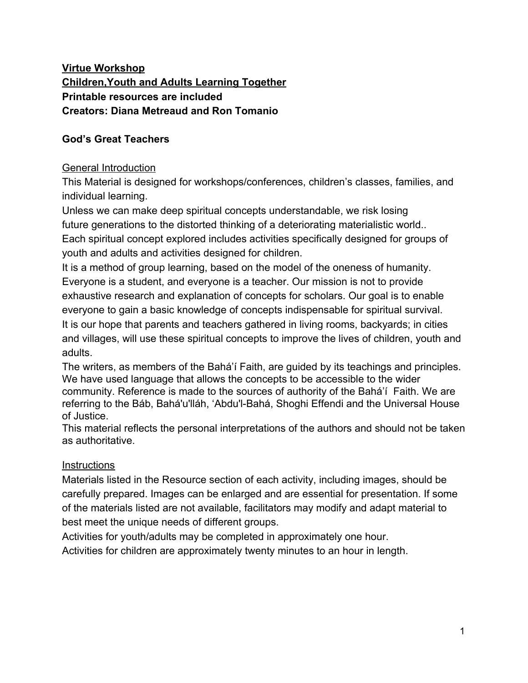**Facilitator says:** Moses was a Great Teacher sent to us by God. He taught everyone how to live a spiritual life. God's teachings that Moses gave us are like life-saving water we get at an oasis. Moses also gave us directions on how to find the next oasis where we can find the next Great Teacher. When we travel from one oasis to the next one, we need to carry some water in our cups with us so we won't be so thirsty or scared and have to turn back.

Let's be sure we all have a little water in our cups as we continue to the next oasis.

**Facilitator:** Facilitator or participant can give physical directions to get to the next oasis. If a 100 square grid has been set up, sample directions might be: "Go forward three spaces; turn right; go forward three spaces; etc.

**Facilitator: Repeat process** to continue guiding participants though remaining four oases, naming each Prophet of God and reminding participants that the water and refreshing fruit are symbolic of Their Teachings.

**Note to Facilitator:** The number of oases may be increased, representing additional Prophets of God.

**Facilitator says:** Let's all return to our seats.

#### **Participants respond**

**Facilitator Closing remarks:** God wants us to grow spiritually and get closer to him. He wants us to love and learn from each of the Great Teachers that He sends to us.

### **"O Lord! Make these children excellent plants. Let them grow and develop in the Garden of thy Covenant…"**

-'Abdu'l-Bahá*Ê∰Öæ*@@*@ĂÜ^~^¦^}&^Æ*sã*¦æ{`kiŐæ@@#AU¦æ^¦•*:Children Á

Let's read (or sing) this prayer for children all together:

**O God! Educate these children. These children are the plants of Thine orchard, the flowers of Thy meadow, the roses of Thy garden. Let Thy rain fall upon them; let the Sun of Reality shine upon them with Thy love. Let Thy breeze refresh them in order that they may be trained, grow and develop, and appear in the utmost beauty. Thou art the Giver. Thou art the Compassionate.** -'Abdu'l-Bahá*Ê Őæ*@@?*AÜ^^¦^}&^AŠãa¦æ^MÓæ@@?AU¦æ^¦*•:Children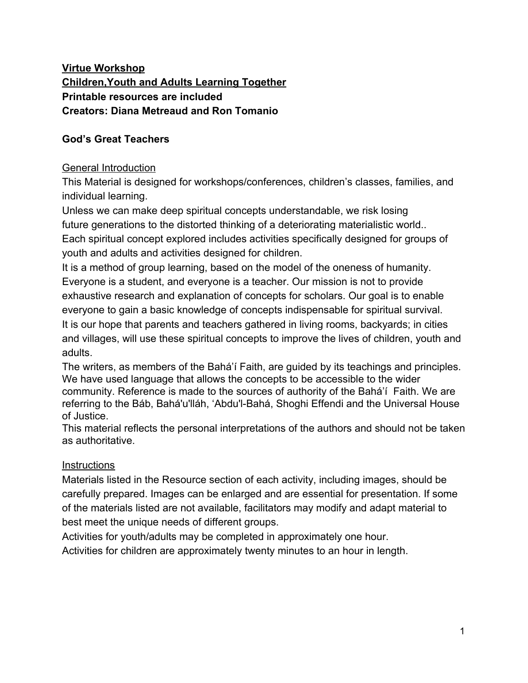#### **Resources:**

### **Adult Activity**

#### **Materials:**

5 small potted plants or plastic plants - representing each oasis Cut pieces of fruit: grapes, bananas, oranges, apples, pears (other fruits or images of fruit may be substituted is necessary) 5 bottles of water (size depending on number of participants) Small cups (one for each participant) Small napkins or plates **Images A,B,C,D,E,F,G,H,I,J Images L,M,N,O - if expanding activity**

## **Children's Activity**

### **Materials**

5 small potted plants or plastic plants - representing each oasis Cut pieces of fruit: grapes, bananas, oranges, apples, pears (other fruits or images of fruit may be substituted is necessary) 5 bottles of water (size depending on number of participants) Small cups (one for each participant) Small napkins or plates Large paper drawn 100 square grid - optional **Images A,B,C, F,G,H,I,J,K Images L,M,N,O - if expanding activity**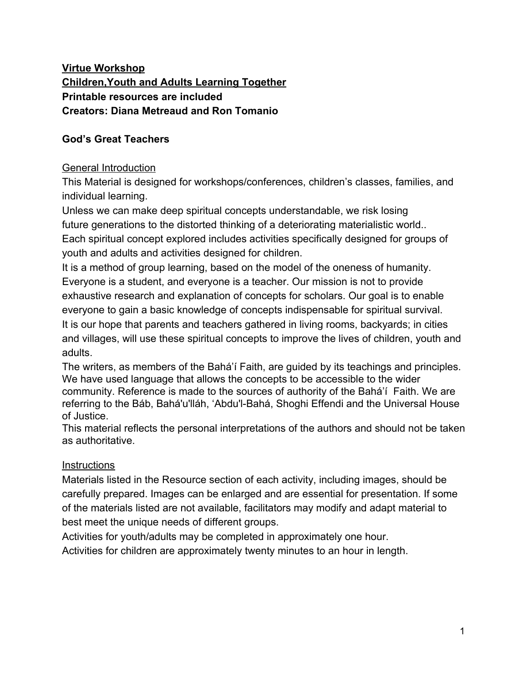# **Images**



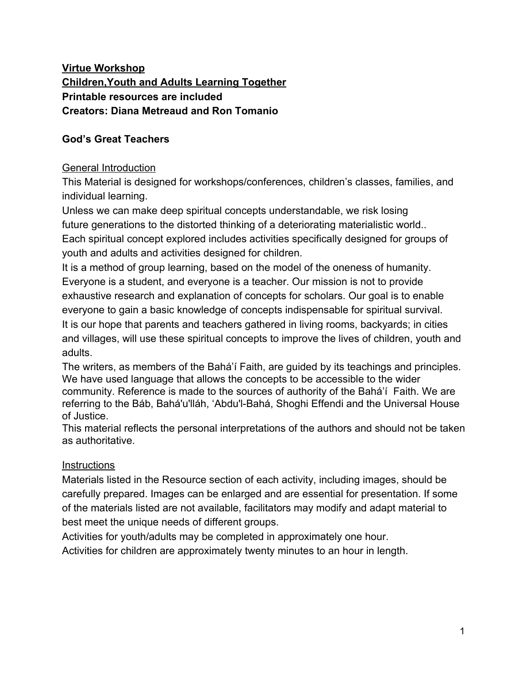

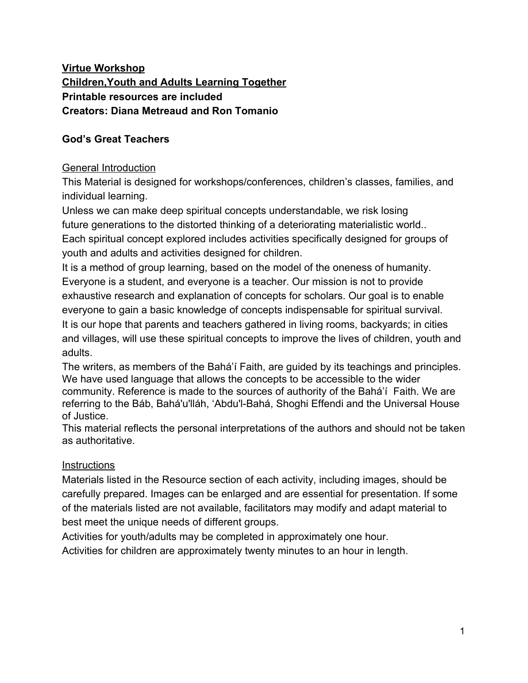

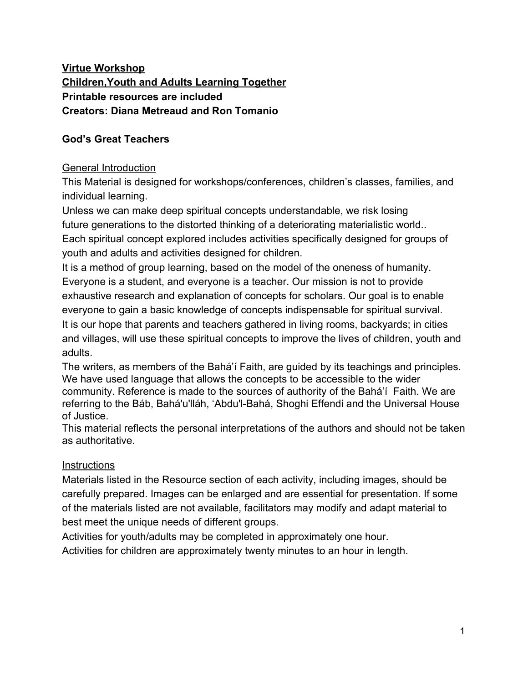

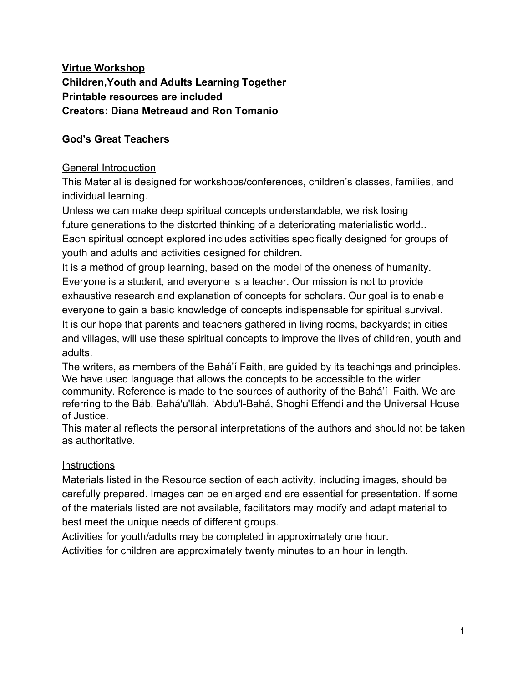



J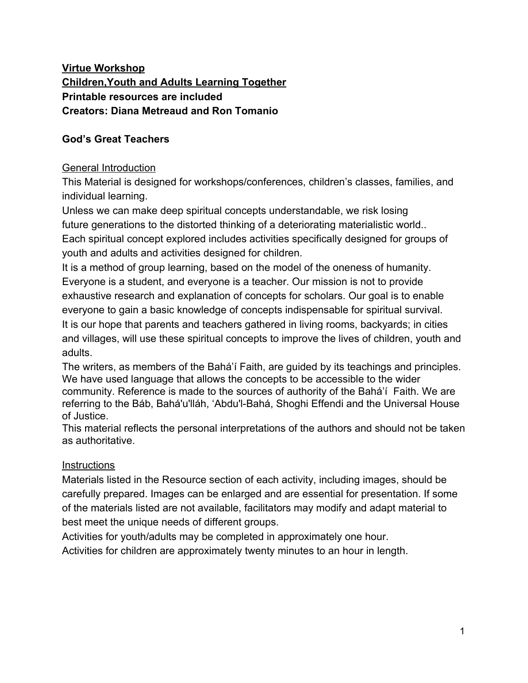

**Additional 4 images of fruits if Facilitator chooses to expand activity to include 9 instead of 5 Prophets of God:**

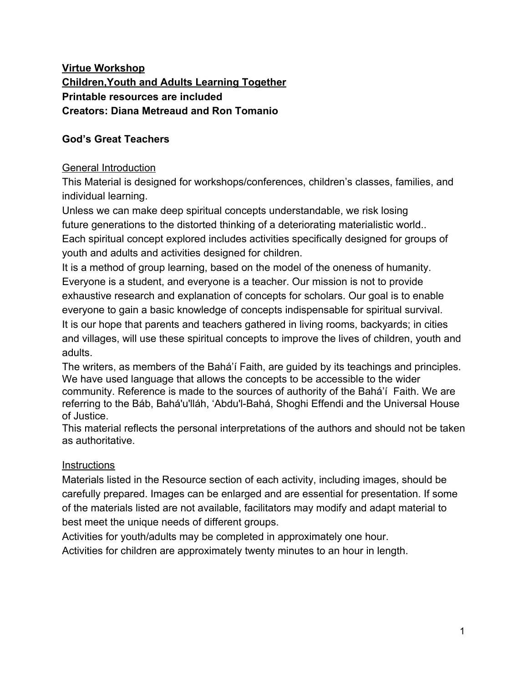

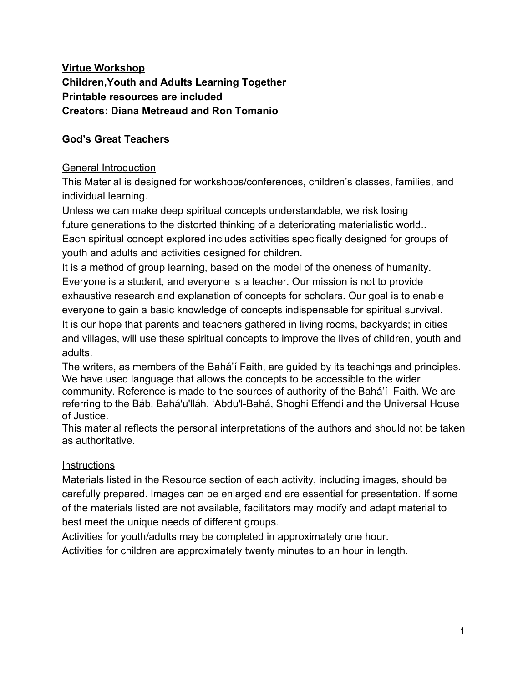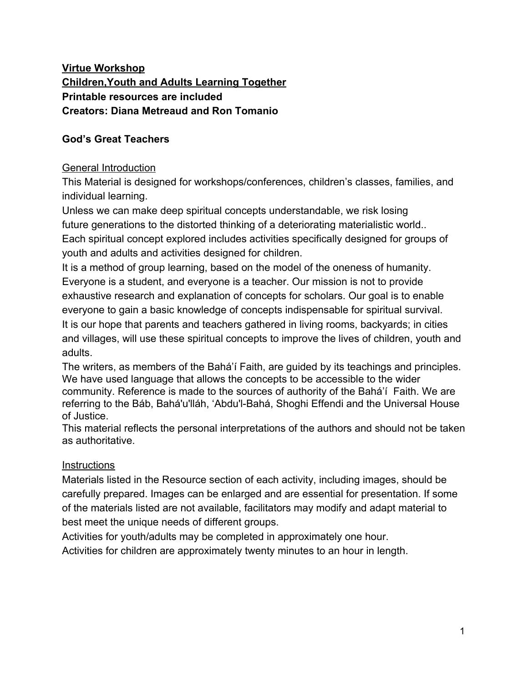Names of Prophets for cards